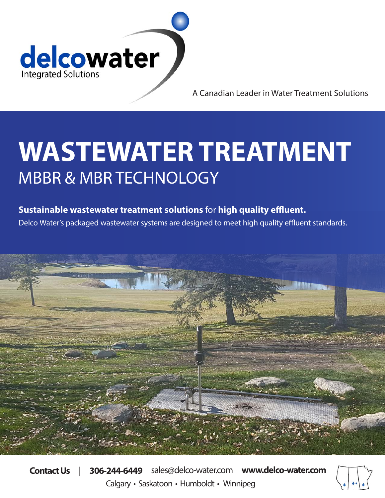

A Canadian Leader in Water Treatment Solutions

# **WASTEWATER TREATMENT** MBBR & MBR TECHNOLOGY

### **Sustainable wastewater treatment solutions** for **high quality effluent.**

Delco Water's packaged wastewater systems are designed to meet high quality effluent standards.



**Contact Us** | **306-244-6449** sales@delco-water.com **www.delco-water.com** Calgary • Saskatoon • Humboldt • Winnipeg

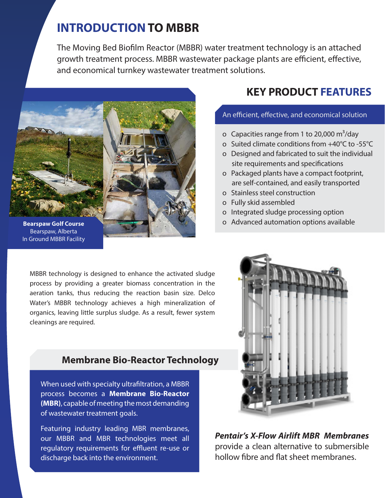## **INTRODUCTION TO MBBR**

The Moving Bed Biofilm Reactor (MBBR) water treatment technology is an attached growth treatment process. MBBR wastewater package plants are efficient, effective, and economical turnkey wastewater treatment solutions.



Bearspaw, Alberta In Ground MBBR Facility

**KEY PRODUCT FEATURES** 

#### An efficient, effective, and economical solution

- o Capacities range from 1 to 20,000  $\text{m}^3/\text{day}$
- o Suited climate conditions from +40°C to -55°C
- o Designed and fabricated to suit the individual site requirements and specifications
- o Packaged plants have a compact footprint, are self-contained, and easily transported
- o Stainless steel construction
- o Fully skid assembled
- o Integrated sludge processing option
- o Advanced automation options available

MBBR technology is designed to enhance the activated sludge process by providing a greater biomass concentration in the aeration tanks, thus reducing the reaction basin size. Delco Water's MBBR technology achieves a high mineralization of organics, leaving little surplus sludge. As a result, fewer system cleanings are required.

#### **Membrane Bio-Reactor Technology**

When used with specialty ultrafiltration, a MBBR process becomes a **Membrane Bio-Reactor (MBR)**, capable of meeting the most demanding of wastewater treatment goals.

Featuring industry leading MBR membranes, our MBBR and MBR technologies meet all regulatory requirements for effluent re-use or discharge back into the environment.



*Pentair's X-Flow Airlift MBR Membranes* provide a clean alternative to submersible hollow fibre and flat sheet membranes.